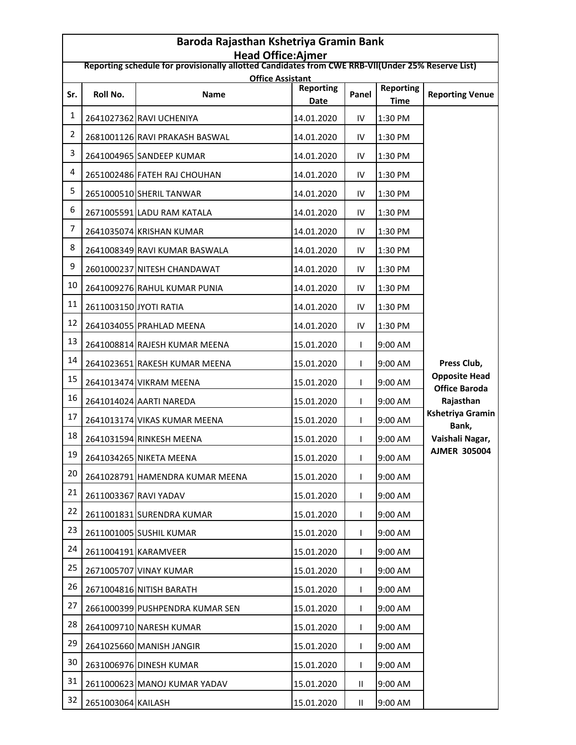| Baroda Rajasthan Kshetriya Gramin Bank<br><b>Head Office:Ajmer</b>                                |                        |                                        |                          |              |                                 |                                                                  |  |  |  |  |
|---------------------------------------------------------------------------------------------------|------------------------|----------------------------------------|--------------------------|--------------|---------------------------------|------------------------------------------------------------------|--|--|--|--|
| Reporting schedule for provisionally allotted Candidates from CWE RRB-VII(Under 25% Reserve List) |                        |                                        |                          |              |                                 |                                                                  |  |  |  |  |
| Sr.                                                                                               | Roll No.               | <b>Office Assistant</b><br><b>Name</b> | <b>Reporting</b><br>Date | Panel        | <b>Reporting</b><br><b>Time</b> | <b>Reporting Venue</b>                                           |  |  |  |  |
| $\mathbf{1}$                                                                                      |                        | 2641027362 RAVI UCHENIYA               | 14.01.2020               | IV           | 1:30 PM                         |                                                                  |  |  |  |  |
| $\overline{2}$                                                                                    |                        | 2681001126 RAVI PRAKASH BASWAL         | 14.01.2020               | IV           | 1:30 PM                         |                                                                  |  |  |  |  |
| 3                                                                                                 |                        | 2641004965 SANDEEP KUMAR               | 14.01.2020               | IV           | 1:30 PM                         |                                                                  |  |  |  |  |
| 4                                                                                                 |                        | 2651002486 FATEH RAJ CHOUHAN           | 14.01.2020               | IV           | 1:30 PM                         |                                                                  |  |  |  |  |
| 5                                                                                                 |                        | 2651000510 SHERIL TANWAR               | 14.01.2020               | IV           | 1:30 PM                         |                                                                  |  |  |  |  |
| 6                                                                                                 |                        | 2671005591 LADU RAM KATALA             | 14.01.2020               | IV           | 1:30 PM                         |                                                                  |  |  |  |  |
| 7                                                                                                 |                        | 2641035074 KRISHAN KUMAR               | 14.01.2020               | IV           | 1:30 PM                         |                                                                  |  |  |  |  |
| 8                                                                                                 |                        | 2641008349 RAVI KUMAR BASWALA          | 14.01.2020               | IV           | 1:30 PM                         |                                                                  |  |  |  |  |
| 9                                                                                                 |                        | 2601000237 NITESH CHANDAWAT            | 14.01.2020               | IV           | 1:30 PM                         |                                                                  |  |  |  |  |
| 10                                                                                                |                        | 2641009276 RAHUL KUMAR PUNIA           | 14.01.2020               | IV           | 1:30 PM                         |                                                                  |  |  |  |  |
| 11                                                                                                | 2611003150 JYOTI RATIA |                                        | 14.01.2020               | IV           | 1:30 PM                         |                                                                  |  |  |  |  |
| 12                                                                                                |                        | 2641034055 PRAHLAD MEENA               | 14.01.2020               | IV           | 1:30 PM                         | Press Club,                                                      |  |  |  |  |
| 13                                                                                                |                        | 2641008814 RAJESH KUMAR MEENA          | 15.01.2020               | L            | 9:00 AM                         |                                                                  |  |  |  |  |
| 14                                                                                                |                        | 2641023651 RAKESH KUMAR MEENA          | 15.01.2020               | L            | 9:00 AM                         |                                                                  |  |  |  |  |
| 15                                                                                                |                        | 2641013474 VIKRAM MEENA                | 15.01.2020               | L            | 9:00 AM                         | <b>Opposite Head</b><br><b>Office Baroda</b>                     |  |  |  |  |
| 16                                                                                                |                        | 2641014024 AARTI NAREDA                | 15.01.2020               | L            | 9:00 AM                         | Rajasthan<br><b>Kshetriya Gramin</b><br>Bank,<br>Vaishali Nagar, |  |  |  |  |
| 17                                                                                                |                        | 2641013174 VIKAS KUMAR MEENA           | 15.01.2020               | I            | 9:00 AM                         |                                                                  |  |  |  |  |
| 18                                                                                                |                        | 2641031594 RINKESH MEENA               | 15.01.2020               | L            | 9:00 AM                         |                                                                  |  |  |  |  |
| 19                                                                                                |                        | 2641034265 NIKETA MEENA                | 15.01.2020               | $\mathbf{L}$ | 9:00 AM                         | <b>AJMER 305004</b>                                              |  |  |  |  |
| 20                                                                                                |                        | 2641028791 HAMENDRA KUMAR MEENA        | 15.01.2020               | L            | 9:00 AM                         |                                                                  |  |  |  |  |
| 21                                                                                                | 2611003367 RAVI YADAV  |                                        | 15.01.2020               | L            | 9:00 AM                         |                                                                  |  |  |  |  |
| 22                                                                                                |                        | 2611001831 SURENDRA KUMAR              | 15.01.2020               | ı            | 9:00 AM                         |                                                                  |  |  |  |  |
| 23                                                                                                |                        | 2611001005 SUSHIL KUMAR                | 15.01.2020               | L            | 9:00 AM                         |                                                                  |  |  |  |  |
| 24                                                                                                |                        | 2611004191 KARAMVEER                   | 15.01.2020               | L            | 9:00 AM                         |                                                                  |  |  |  |  |
| 25                                                                                                |                        | 2671005707 VINAY KUMAR                 | 15.01.2020               |              | 9:00 AM                         |                                                                  |  |  |  |  |
| 26                                                                                                |                        | 2671004816 NITISH BARATH               | 15.01.2020               | L            | 9:00 AM                         |                                                                  |  |  |  |  |
| 27                                                                                                |                        | 2661000399 PUSHPENDRA KUMAR SEN        | 15.01.2020               | L            | 9:00 AM                         |                                                                  |  |  |  |  |
| 28                                                                                                |                        | 2641009710 NARESH KUMAR                | 15.01.2020               |              | 9:00 AM                         |                                                                  |  |  |  |  |
| 29                                                                                                |                        | 2641025660 MANISH JANGIR               | 15.01.2020               | L            | 9:00 AM                         |                                                                  |  |  |  |  |
| 30                                                                                                |                        | 2631006976 DINESH KUMAR                | 15.01.2020               | L            | 9:00 AM                         |                                                                  |  |  |  |  |
| 31                                                                                                |                        | 2611000623 MANOJ KUMAR YADAV           | 15.01.2020               | Ш            | 9:00 AM                         |                                                                  |  |  |  |  |
| 32                                                                                                | 2651003064 KAILASH     |                                        | 15.01.2020               | Ш.           | 9:00 AM                         |                                                                  |  |  |  |  |